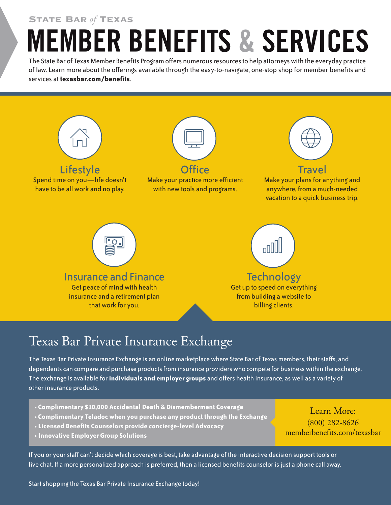**State Bar** *of* **Texas**

## **MEMBER BENEFITS & SERVICES**

The State Bar of Texas Member Benefits Program offers numerous resources to help attorneys with the everyday practice of law. Learn more about the offerings available through the easy-to-navigate, one-stop shop for member benefits and services at **texasbar.com/benefits**.



## Texas Bar Private Insurance Exchange

The Texas Bar Private Insurance Exchange is an online marketplace where State Bar of Texas members, their staffs, and dependents can compare and purchase products from insurance providers who compete for business within the exchange. The exchange is available for **individuals and employer groups** and offers health insurance, as well as a variety of other insurance products.

- **• Complimentary \$10,000 Accidental Death & Dismemberment Coverage**
- **• Complimentary Teladoc when you purchase any product through the Exchange**
- **• Licensed Benefits Counselors provide concierge-level Advocacy**
- **• Innovative Employer Group Solutions**

If you or yourstaff can't decide which coverage is best, take advantage of the interactive decision support tools or live chat. If a more personalized approach is preferred, then a licensed benefits counselor is just a phone call away.

Start shopping the Texas Bar Private Insurance Exchange today!

#### Learn More: (800) 282-8626 memberbenefits.com/texasbar